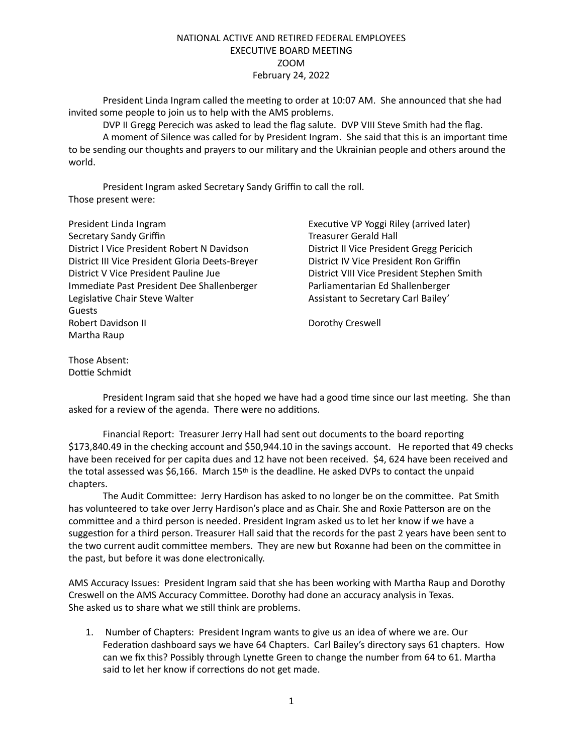## NATIONAL ACTIVE AND RETIRED FEDERAL EMPLOYEES EXECUTIVE BOARD MEETING ZOOM February 24, 2022

President Linda Ingram called the meeting to order at 10:07 AM. She announced that she had invited some people to join us to help with the AMS problems.

DVP II Gregg Perecich was asked to lead the flag salute. DVP VIII Steve Smith had the flag. A moment of Silence was called for by President Ingram. She said that this is an important time to be sending our thoughts and prayers to our military and the Ukrainian people and others around the world.

President Ingram asked Secretary Sandy Griffin to call the roll. Those present were:

| President Linda Ingram                          | Executive VP Yoggi Riley (arrived later)   |
|-------------------------------------------------|--------------------------------------------|
| Secretary Sandy Griffin                         | <b>Treasurer Gerald Hall</b>               |
| District I Vice President Robert N Davidson     | District II Vice President Gregg Pericich  |
| District III Vice President Gloria Deets-Breyer | District IV Vice President Ron Griffin     |
| District V Vice President Pauline Jue           | District VIII Vice President Stephen Smith |
| Immediate Past President Dee Shallenberger      | Parliamentarian Ed Shallenberger           |
| Legislative Chair Steve Walter                  | Assistant to Secretary Carl Bailey'        |
| <b>Guests</b>                                   |                                            |
| Robert Davidson II                              | Dorothy Creswell                           |
| Martha Raup                                     |                                            |

Those Absent: Dottie Schmidt

President Ingram said that she hoped we have had a good time since our last meeting. She than asked for a review of the agenda. There were no additions.

Financial Report: Treasurer Jerry Hall had sent out documents to the board reporting \$173,840.49 in the checking account and \$50,944.10 in the savings account. He reported that 49 checks have been received for per capita dues and 12 have not been received. \$4, 624 have been received and the total assessed was \$6,166. March 15<sup>th</sup> is the deadline. He asked DVPs to contact the unpaid chapters.

The Audit Committee: Jerry Hardison has asked to no longer be on the committee. Pat Smith has volunteered to take over Jerry Hardison's place and as Chair. She and Roxie Patterson are on the committee and a third person is needed. President Ingram asked us to let her know if we have a suggestion for a third person. Treasurer Hall said that the records for the past 2 years have been sent to the two current audit committee members. They are new but Roxanne had been on the committee in the past, but before it was done electronically.

AMS Accuracy Issues: President Ingram said that she has been working with Martha Raup and Dorothy Creswell on the AMS Accuracy Committee. Dorothy had done an accuracy analysis in Texas. She asked us to share what we still think are problems.

1. Number of Chapters: President Ingram wants to give us an idea of where we are. Our Federation dashboard says we have 64 Chapters. Carl Bailey's directory says 61 chapters. How can we fix this? Possibly through Lynette Green to change the number from 64 to 61. Martha said to let her know if corrections do not get made.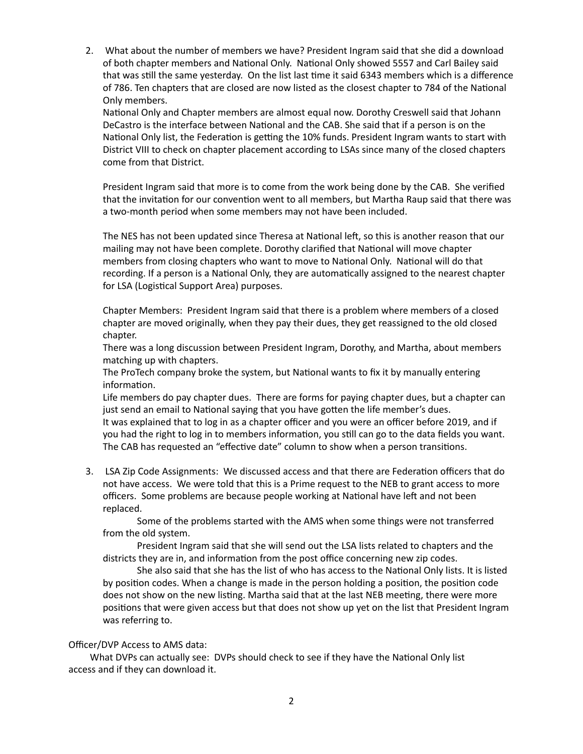2. What about the number of members we have? President Ingram said that she did a download of both chapter members and National Only. National Only showed 5557 and Carl Bailey said that was still the same yesterday. On the list last time it said 6343 members which is a difference of 786. Ten chapters that are closed are now listed as the closest chapter to 784 of the National Only members.

National Only and Chapter members are almost equal now. Dorothy Creswell said that Johann DeCastro is the interface between National and the CAB. She said that if a person is on the National Only list, the Federation is getting the 10% funds. President Ingram wants to start with District VIII to check on chapter placement according to LSAs since many of the closed chapters come from that District.

President Ingram said that more is to come from the work being done by the CAB. She verified that the invitation for our convention went to all members, but Martha Raup said that there was a two-month period when some members may not have been included.

The NES has not been updated since Theresa at National left, so this is another reason that our mailing may not have been complete. Dorothy clarified that National will move chapter members from closing chapters who want to move to National Only. National will do that recording. If a person is a National Only, they are automatically assigned to the nearest chapter for LSA (Logistical Support Area) purposes.

Chapter Members: President Ingram said that there is a problem where members of a closed chapter are moved originally, when they pay their dues, they get reassigned to the old closed chapter.

There was a long discussion between President Ingram, Dorothy, and Martha, about members matching up with chapters.

The ProTech company broke the system, but National wants to fix it by manually entering information.

Life members do pay chapter dues. There are forms for paying chapter dues, but a chapter can just send an email to National saying that you have gotten the life member's dues. It was explained that to log in as a chapter officer and you were an officer before 2019, and if you had the right to log in to members information, you still can go to the data fields you want. The CAB has requested an "effective date" column to show when a person transitions.

3. LSA Zip Code Assignments: We discussed access and that there are Federation officers that do not have access. We were told that this is a Prime request to the NEB to grant access to more officers. Some problems are because people working at National have left and not been replaced.

Some of the problems started with the AMS when some things were not transferred from the old system.

President Ingram said that she will send out the LSA lists related to chapters and the districts they are in, and information from the post office concerning new zip codes.

She also said that she has the list of who has access to the National Only lists. It is listed by position codes. When a change is made in the person holding a position, the position code does not show on the new listing. Martha said that at the last NEB meeting, there were more positions that were given access but that does not show up yet on the list that President Ingram was referring to.

## Officer/DVP Access to AMS data:

What DVPs can actually see: DVPs should check to see if they have the National Only list access and if they can download it.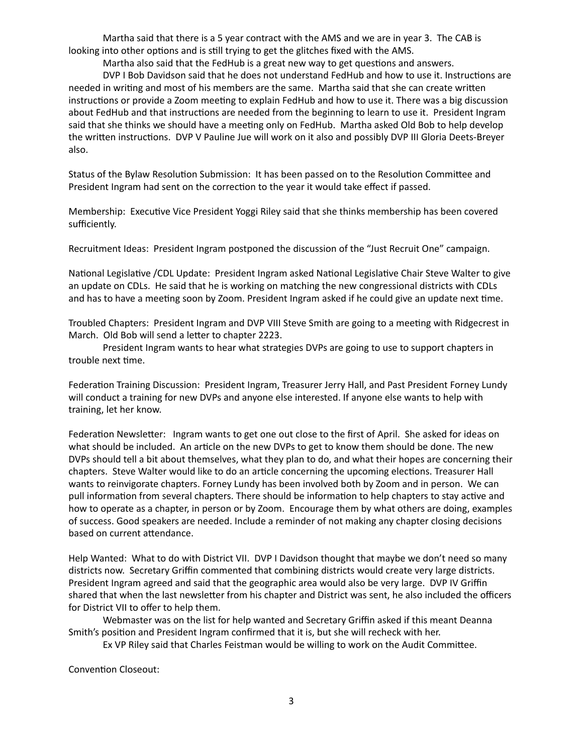Martha said that there is a 5 year contract with the AMS and we are in year 3. The CAB is looking into other options and is still trying to get the glitches fixed with the AMS.

Martha also said that the FedHub is a great new way to get questions and answers.

DVP I Bob Davidson said that he does not understand FedHub and how to use it. Instructions are needed in writing and most of his members are the same. Martha said that she can create written instructions or provide a Zoom meeting to explain FedHub and how to use it. There was a big discussion about FedHub and that instructions are needed from the beginning to learn to use it. President Ingram said that she thinks we should have a meeting only on FedHub. Martha asked Old Bob to help develop the written instructions. DVP V Pauline Jue will work on it also and possibly DVP III Gloria Deets-Breyer also.

Status of the Bylaw Resolution Submission: It has been passed on to the Resolution Committee and President Ingram had sent on the correction to the year it would take effect if passed.

Membership: Executive Vice President Yoggi Riley said that she thinks membership has been covered sufficiently.

Recruitment Ideas: President Ingram postponed the discussion of the "Just Recruit One" campaign.

National Legislative /CDL Update: President Ingram asked National Legislative Chair Steve Walter to give an update on CDLs. He said that he is working on matching the new congressional districts with CDLs and has to have a meeting soon by Zoom. President Ingram asked if he could give an update next time.

Troubled Chapters: President Ingram and DVP VIII Steve Smith are going to a meeting with Ridgecrest in March. Old Bob will send a letter to chapter 2223.

President Ingram wants to hear what strategies DVPs are going to use to support chapters in trouble next time.

Federation Training Discussion: President Ingram, Treasurer Jerry Hall, and Past President Forney Lundy will conduct a training for new DVPs and anyone else interested. If anyone else wants to help with training, let her know.

Federation Newsletter: Ingram wants to get one out close to the first of April. She asked for ideas on what should be included. An article on the new DVPs to get to know them should be done. The new DVPs should tell a bit about themselves, what they plan to do, and what their hopes are concerning their chapters. Steve Walter would like to do an article concerning the upcoming elections. Treasurer Hall wants to reinvigorate chapters. Forney Lundy has been involved both by Zoom and in person. We can pull information from several chapters. There should be information to help chapters to stay active and how to operate as a chapter, in person or by Zoom. Encourage them by what others are doing, examples of success. Good speakers are needed. Include a reminder of not making any chapter closing decisions based on current attendance.

Help Wanted: What to do with District VII. DVP I Davidson thought that maybe we don't need so many districts now. Secretary Griffin commented that combining districts would create very large districts. President Ingram agreed and said that the geographic area would also be very large. DVP IV Griffin shared that when the last newsletter from his chapter and District was sent, he also included the officers for District VII to offer to help them.

Webmaster was on the list for help wanted and Secretary Griffin asked if this meant Deanna Smith's position and President Ingram confirmed that it is, but she will recheck with her.

Ex VP Riley said that Charles Feistman would be willing to work on the Audit Committee.

Convention Closeout: